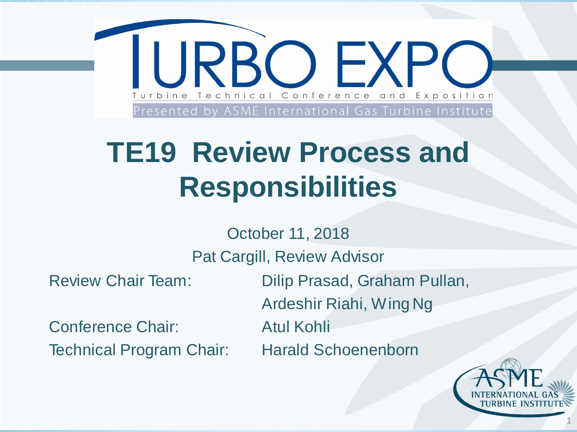

## **TE19 Review Process and Responsibilities**

October 11, 2018

Pat Cargill, Review Advisor

Conference Chair: Atul Kohli Technical Program Chair: Harald Schoenenborn

Review Chair Team: Dilip Prasad, Graham Pullan, Ardeshir Riahi, Wing Ng



1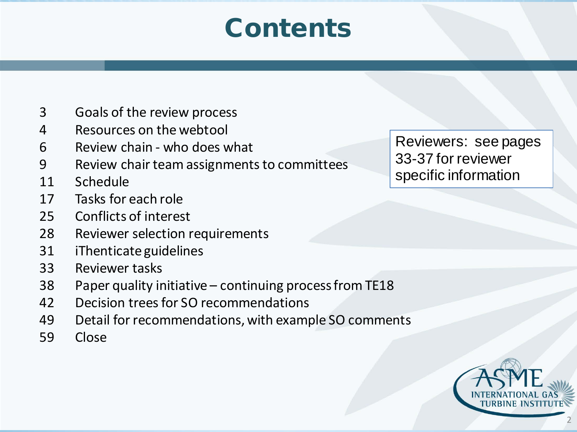### **Contents**

- Goals of the review process
- Resources on the webtool
- Review chain who does what
- Review chair team assignments to committees
- Schedule
- Tasks for each role
- Conflicts of interest
- Reviewer selection requirements
- iThenticateguidelines
- Reviewer tasks
- Paper quality initiative continuing process from TE18
- Decision trees for SO recommendations
- Detail for recommendations, with example SO comments
- Close

Reviewers: see pages 33-37 for reviewer specific information

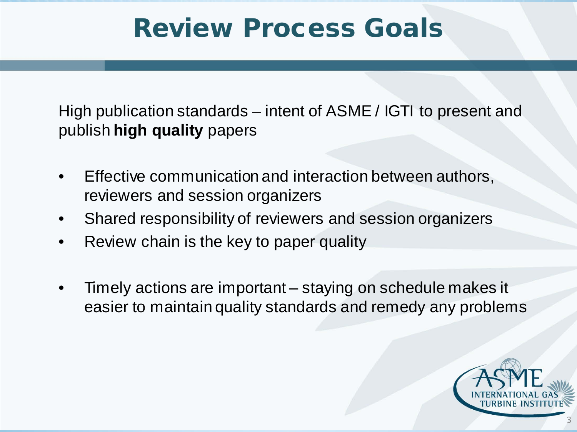### Review Process Goals

High publication standards – intent of ASME / IGTI to present and publish **high quality** papers

- Effective communication and interaction between authors, reviewers and session organizers
- Shared responsibility of reviewers and session organizers
- Review chain is the key to paper quality
- Timely actions are important staying on schedule makes it easier to maintain quality standards and remedy any problems

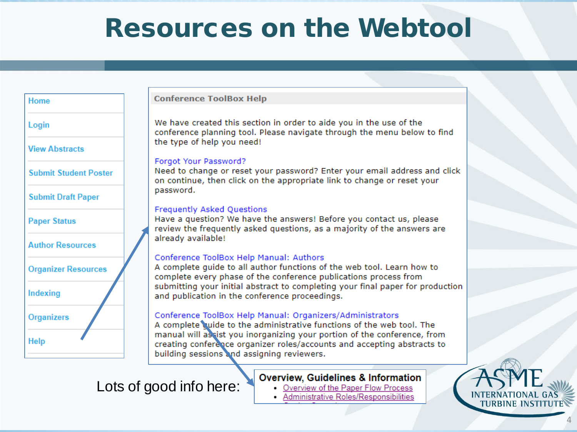### Resources on the Webtool

| <b>Home</b>                  |  |
|------------------------------|--|
| Login                        |  |
| <b>View Abstracts</b>        |  |
| <b>Submit Student Poster</b> |  |
| <b>Submit Draft Paper</b>    |  |
| <b>Paper Status</b>          |  |
| <b>Author Resources</b>      |  |
| <b>Organizer Resources</b>   |  |
| Indexing                     |  |
| <b>Organizers</b>            |  |
| <b>Help</b>                  |  |

#### **Conference ToolBox Help**

We have created this section in order to aide you in the use of the conference planning tool. Please navigate through the menu below to find the type of help you need!

#### Forgot Your Password?

Need to change or reset your password? Enter your email address and click on continue, then click on the appropriate link to change or reset your password.

#### **Frequently Asked Questions**

Have a question? We have the answers! Before you contact us, please review the frequently asked questions, as a majority of the answers are already available!

#### Conference ToolBox Help Manual: Authors

A complete guide to all author functions of the web tool. Learn how to complete every phase of the conference publications process from submitting your initial abstract to completing your final paper for production and publication in the conference proceedings.

#### Conference ToolBox Help Manual: Organizers/Administrators

A complete quide to the administrative functions of the web tool. The manual will assist you inorganizing your portion of the conference, from creating conference organizer roles/accounts and accepting abstracts to building sessions and assigning reviewers.

#### Lots of good info here:

#### **Overview, Guidelines & Information**

- Overview of the Paper Flow Process
- Administrative Roles/Responsibilities



4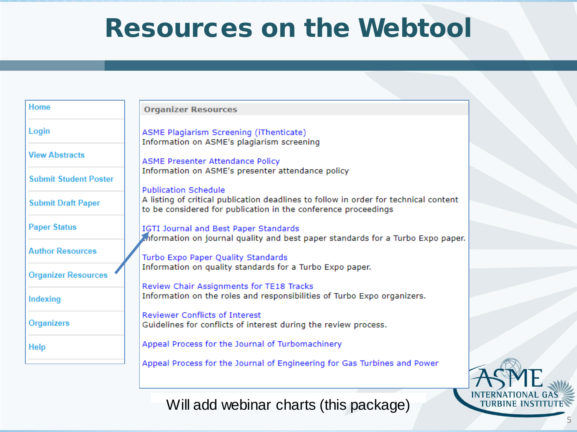### Resources on the Webtool

| Home                         | <b>Organizer Resources</b>                                                                                                                                                            |  |
|------------------------------|---------------------------------------------------------------------------------------------------------------------------------------------------------------------------------------|--|
| Login                        | ASME Plagiarism Screening (iThenticate)<br>Information on ASME's plagiarism screening                                                                                                 |  |
| <b>View Abstracts</b>        | <b>ASME Presenter Attendance Policy</b>                                                                                                                                               |  |
| <b>Submit Student Poster</b> | Information on ASME's presenter attendance policy                                                                                                                                     |  |
| <b>Submit Draft Paper</b>    | <b>Publication Schedule</b><br>A listing of critical publication deadlines to follow in order for technical content<br>to be considered for publication in the conference proceedings |  |
| <b>Paper Status</b>          | IGTI Journal and Best Paper Standards<br>information on journal quality and best paper standards for a Turbo Expo paper.                                                              |  |
| <b>Author Resources</b>      | Turbo Expo Paper Quality Standards                                                                                                                                                    |  |
| <b>Organizer Resources</b>   | Information on quality standards for a Turbo Expo paper.                                                                                                                              |  |
| Indexing                     | Review Chair Assignments for TE18 Tracks<br>Information on the roles and responsibilities of Turbo Expo organizers.                                                                   |  |
| <b>Organizers</b>            | <b>Reviewer Conflicts of Interest</b><br>Guidelines for conflicts of interest during the review process.                                                                              |  |
| <b>Help</b>                  | Appeal Process for the Journal of Turbomachinery                                                                                                                                      |  |
|                              | Appeal Process for the Journal of Engineering for Gas Turbines and Power                                                                                                              |  |
|                              |                                                                                                                                                                                       |  |



5

Will add webinar charts (this package)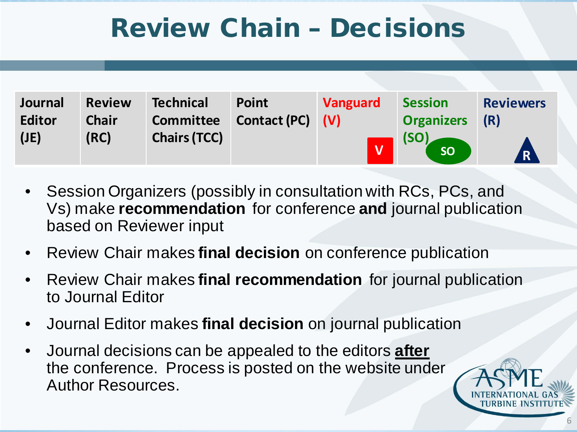### Review Chain – Decisions

| Journal       | <b>Review</b> | <b>Technical</b>    | <b>Point</b>        | <b>Vanguard</b> | <b>Session</b>    | <b>Reviewers</b> |
|---------------|---------------|---------------------|---------------------|-----------------|-------------------|------------------|
| <b>Editor</b> | <b>Chair</b>  | <b>Committee</b>    | <b>Contact (PC)</b> | (V)             | <b>Organizers</b> | (R)              |
| (JE)          | (RC)          | <b>Chairs (TCC)</b> |                     |                 | (SO)<br>SO        | R)               |

- Session Organizers (possibly in consultation with RCs, PCs, and Vs) make **recommendation** for conference **and** journal publication based on Reviewer input
- Review Chair makes **final decision** on conference publication
- Review Chair makes **final recommendation** for journal publication to Journal Editor
- Journal Editor makes **final decision** on journal publication
- Journal decisions can be appealed to the editors **after** the conference. Process is posted on the website under Author Resources.

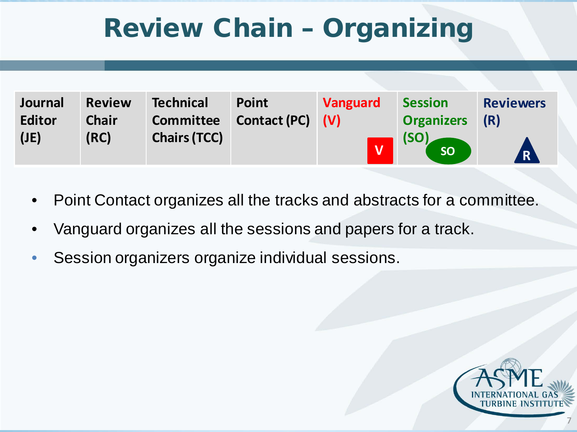### Review Chain – Organizing

| Journal       | <b>Review</b> | <b>Technical</b>    | <b>Point</b>        | <b>Vanguard</b> | <b>Session</b>    | <b>Reviewers</b> |
|---------------|---------------|---------------------|---------------------|-----------------|-------------------|------------------|
| <b>Editor</b> | <b>Chair</b>  | <b>Committee</b>    | <b>Contact (PC)</b> | (V)             | <b>Organizers</b> | (R)              |
| (JE)          | (RC)          | <b>Chairs (TCC)</b> |                     |                 | (SO)<br>SO        | <b>R</b>         |

- Point Contact organizes all the tracks and abstracts for a committee.
- Vanguard organizes all the sessions and papers for a track.
- Session organizers organize individual sessions.



7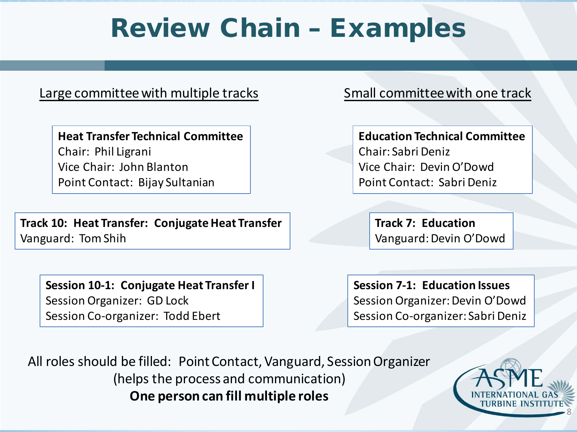### Review Chain – Examples

#### Large committee with multiple tracks Small committee with one track

**Heat Transfer Technical Committee** Chair: Phil Ligrani Vice Chair: John Blanton Point Contact: Bijay Sultanian

**Track 10: Heat Transfer: Conjugate Heat Transfer** Vanguard: Tom Shih

**Session 10-1: Conjugate Heat Transfer I** Session Organizer: GD Lock Session Co-organizer: Todd Ebert

**Education Technical Committee** Chair: Sabri Deniz Vice Chair: Devin O'Dowd Point Contact: Sabri Deniz

**Track 7: Education** Vanguard: Devin O'Dowd

**Session 7-1: Education Issues** Session Organizer: Devin O'Dowd Session Co-organizer: Sabri Deniz

All roles should be filled: Point Contact, Vanguard, Session Organizer (helps the process and communication) **One person can fill multiple roles**

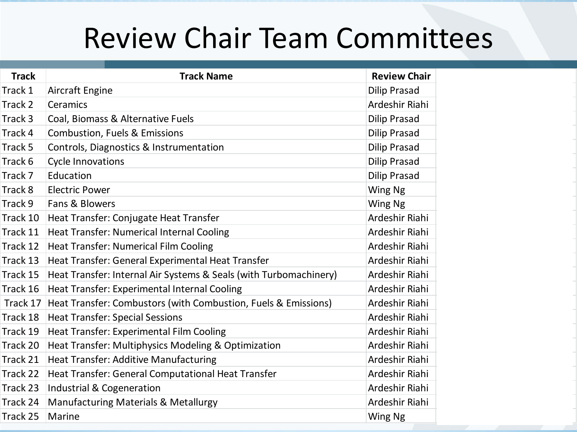## Review Chair Team Committees

| <b>Track</b> | <b>Track Name</b>                                                       | <b>Review Chair</b> |
|--------------|-------------------------------------------------------------------------|---------------------|
| Track 1      | Aircraft Engine                                                         | <b>Dilip Prasad</b> |
| Track 2      | Ceramics                                                                | Ardeshir Riahi      |
| Track 3      | Coal, Biomass & Alternative Fuels                                       | <b>Dilip Prasad</b> |
| Track 4      | <b>Combustion, Fuels &amp; Emissions</b>                                | <b>Dilip Prasad</b> |
| Track 5      | Controls, Diagnostics & Instrumentation                                 | <b>Dilip Prasad</b> |
| Track 6      | <b>Cycle Innovations</b>                                                | <b>Dilip Prasad</b> |
| Track 7      | Education                                                               | <b>Dilip Prasad</b> |
| Track 8      | <b>Electric Power</b>                                                   | Wing Ng             |
| Track 9      | Fans & Blowers                                                          | Wing Ng             |
| Track 10     | Heat Transfer: Conjugate Heat Transfer                                  | Ardeshir Riahi      |
| Track 11     | Heat Transfer: Numerical Internal Cooling                               | Ardeshir Riahi      |
| Track 12     | Heat Transfer: Numerical Film Cooling                                   | Ardeshir Riahi      |
| Track 13     | Heat Transfer: General Experimental Heat Transfer                       | Ardeshir Riahi      |
| Track 15     | Heat Transfer: Internal Air Systems & Seals (with Turbomachinery)       | Ardeshir Riahi      |
| Track 16     | Heat Transfer: Experimental Internal Cooling                            | Ardeshir Riahi      |
|              | Track 17 Heat Transfer: Combustors (with Combustion, Fuels & Emissions) | Ardeshir Riahi      |
|              | Track 18   Heat Transfer: Special Sessions                              | Ardeshir Riahi      |
| Track 19     | Heat Transfer: Experimental Film Cooling                                | Ardeshir Riahi      |
| Track 20     | Heat Transfer: Multiphysics Modeling & Optimization                     | Ardeshir Riahi      |
| Track 21     | Heat Transfer: Additive Manufacturing                                   | Ardeshir Riahi      |
| Track 22     | Heat Transfer: General Computational Heat Transfer                      | Ardeshir Riahi      |
| Track 23     | Industrial & Cogeneration                                               | Ardeshir Riahi      |
| Track 24     | Manufacturing Materials & Metallurgy                                    | Ardeshir Riahi      |
| Track 25     | Marine                                                                  | Wing Ng             |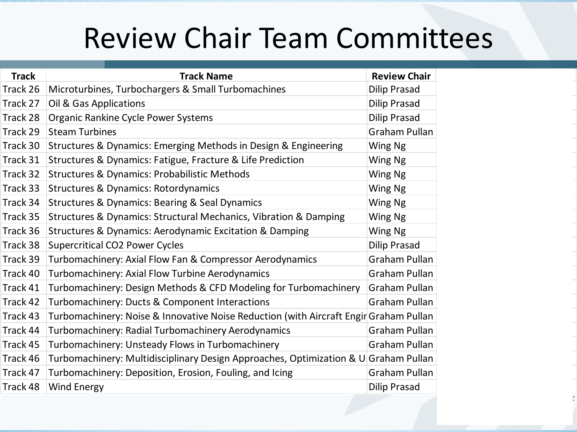## Review Chair Team Committees

| <b>Track</b> | <b>Track Name</b>                                                                     | <b>Review Chair</b>  |
|--------------|---------------------------------------------------------------------------------------|----------------------|
| Track 26     | Microturbines, Turbochargers & Small Turbomachines                                    | Dilip Prasad         |
| Track 27     | Oil & Gas Applications                                                                | Dilip Prasad         |
| Track 28     | Organic Rankine Cycle Power Systems                                                   | Dilip Prasad         |
| Track 29     | <b>Steam Turbines</b>                                                                 | <b>Graham Pullan</b> |
| Track 30     | Structures & Dynamics: Emerging Methods in Design & Engineering                       | Wing Ng              |
| Track 31     | Structures & Dynamics: Fatigue, Fracture & Life Prediction                            | Wing Ng              |
| Track 32     | <b>Structures &amp; Dynamics: Probabilistic Methods</b>                               | Wing Ng              |
| Track 33     | <b>Structures &amp; Dynamics: Rotordynamics</b>                                       | Wing Ng              |
| Track 34     | <b>Structures &amp; Dynamics: Bearing &amp; Seal Dynamics</b>                         | Wing Ng              |
| Track 35     | Structures & Dynamics: Structural Mechanics, Vibration & Damping                      | Wing Ng              |
| Track 36     | <b>Structures &amp; Dynamics: Aerodynamic Excitation &amp; Damping</b>                | Wing Ng              |
| Track 38     | <b>Supercritical CO2 Power Cycles</b>                                                 | Dilip Prasad         |
| Track 39     | Turbomachinery: Axial Flow Fan & Compressor Aerodynamics                              | Graham Pullan        |
| Track 40     | Turbomachinery: Axial Flow Turbine Aerodynamics                                       | Graham Pullan        |
| Track 41     | Turbomachinery: Design Methods & CFD Modeling for Turbomachinery                      | Graham Pullan        |
| Track 42     | Turbomachinery: Ducts & Component Interactions                                        | Graham Pullan        |
| Track 43     | Turbomachinery: Noise & Innovative Noise Reduction (with Aircraft Engir Graham Pullan |                      |
| Track 44     | Turbomachinery: Radial Turbomachinery Aerodynamics                                    | Graham Pullan        |
| Track 45     | Turbomachinery: Unsteady Flows in Turbomachinery                                      | Graham Pullan        |
| Track 46     | Turbomachinery: Multidisciplinary Design Approaches, Optimization & U Graham Pullan   |                      |
| Track 47     | Turbomachinery: Deposition, Erosion, Fouling, and Icing                               | Graham Pullan        |
| Track 48     | <b>Wind Energy</b>                                                                    | <b>Dilip Prasad</b>  |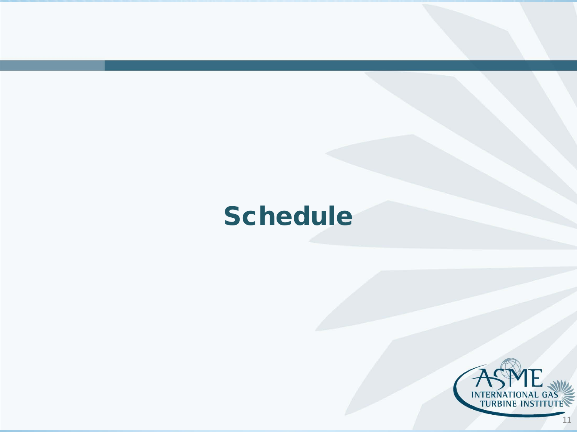### **Schedule**

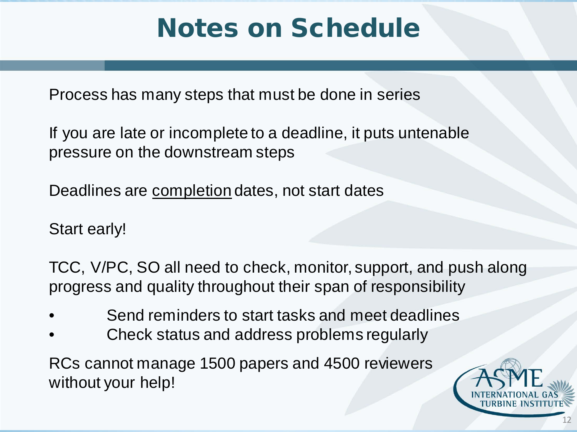### Notes on Schedule

Process has many steps that must be done in series

If you are late or incomplete to a deadline, it puts untenable pressure on the downstream steps

Deadlines are completion dates, not start dates

Start early!

TCC, V/PC, SO all need to check, monitor, support, and push along progress and quality throughout their span of responsibility

- Send reminders to start tasks and meet deadlines
- Check status and address problems regularly

RCs cannot manage 1500 papers and 4500 reviewers without your help!

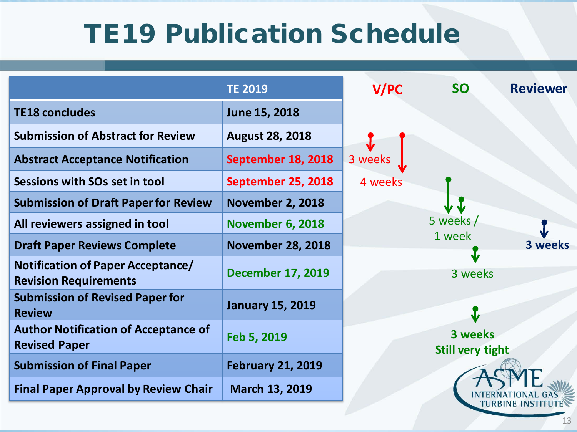|                                                                          | <b>TE 2019</b>           | <b>V/PC</b> | <b>SO</b>                          | <b>Reviewer</b> |
|--------------------------------------------------------------------------|--------------------------|-------------|------------------------------------|-----------------|
| <b>TE18 concludes</b>                                                    | June 15, 2018            |             |                                    |                 |
| <b>Submission of Abstract for Review</b>                                 | <b>August 28, 2018</b>   |             |                                    |                 |
| <b>Abstract Acceptance Notification</b>                                  | September 18, 2018       | 3 weeks     |                                    |                 |
| Sessions with SOs set in tool                                            | September 25, 2018       | 4 weeks     |                                    |                 |
| <b>Submission of Draft Paper for Review</b>                              | <b>November 2, 2018</b>  |             |                                    |                 |
| All reviewers assigned in tool                                           | <b>November 6, 2018</b>  |             | 5 weeks /                          |                 |
| <b>Draft Paper Reviews Complete</b>                                      | <b>November 28, 2018</b> |             | 1 week                             | 3 weeks         |
| <b>Notification of Paper Acceptance/</b><br><b>Revision Requirements</b> | <b>December 17, 2019</b> |             | 3 weeks                            |                 |
| <b>Submission of Revised Paper for</b><br><b>Review</b>                  | <b>January 15, 2019</b>  |             |                                    |                 |
| <b>Author Notification of Acceptance of</b><br><b>Revised Paper</b>      | Feb 5, 2019              |             | 3 weeks<br><b>Still very tight</b> |                 |
| <b>Submission of Final Paper</b>                                         | <b>February 21, 2019</b> |             |                                    |                 |
| <b>Final Paper Approval by Review Chair</b>                              | March 13, 2019           |             |                                    |                 |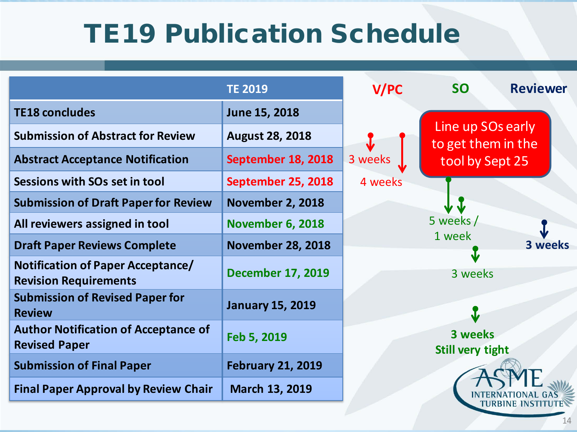|                                                                          | <b>TE 2019</b>           | <b>V/PC</b> | <b>SO</b>                               | <b>Reviewer</b> |
|--------------------------------------------------------------------------|--------------------------|-------------|-----------------------------------------|-----------------|
| <b>TE18 concludes</b>                                                    | June 15, 2018            |             |                                         |                 |
| <b>Submission of Abstract for Review</b>                                 | <b>August 28, 2018</b>   |             | Line up SOs early<br>to get them in the |                 |
| <b>Abstract Acceptance Notification</b>                                  | September 18, 2018       | 3 weeks     | tool by Sept 25                         |                 |
| Sessions with SOs set in tool                                            | September 25, 2018       | 4 weeks     |                                         |                 |
| <b>Submission of Draft Paper for Review</b>                              | <b>November 2, 2018</b>  |             |                                         |                 |
| All reviewers assigned in tool                                           | <b>November 6, 2018</b>  |             | 5 weeks /                               |                 |
| <b>Draft Paper Reviews Complete</b>                                      | <b>November 28, 2018</b> |             | 1 week                                  | 3 weeks         |
| <b>Notification of Paper Acceptance/</b><br><b>Revision Requirements</b> | <b>December 17, 2019</b> |             | 3 weeks                                 |                 |
| <b>Submission of Revised Paper for</b><br><b>Review</b>                  | <b>January 15, 2019</b>  |             |                                         |                 |
| <b>Author Notification of Acceptance of</b><br><b>Revised Paper</b>      | Feb 5, 2019              |             | 3 weeks<br><b>Still very tight</b>      |                 |
| <b>Submission of Final Paper</b>                                         | <b>February 21, 2019</b> |             |                                         |                 |
| <b>Final Paper Approval by Review Chair</b>                              | March 13, 2019           |             |                                         |                 |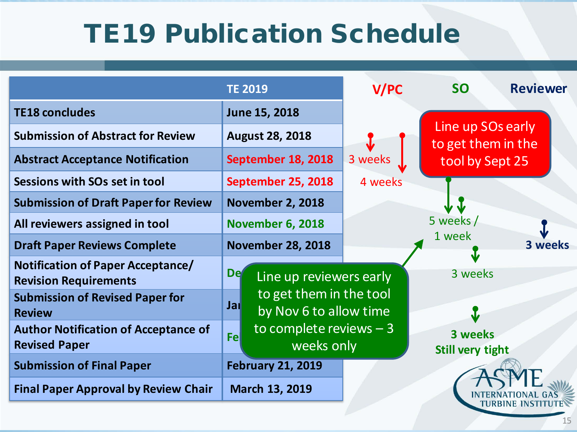|                                                                          | <b>TE 2019</b>                                           | <b>V/PC</b> | <b>SO</b><br><b>Reviewer</b>            |  |
|--------------------------------------------------------------------------|----------------------------------------------------------|-------------|-----------------------------------------|--|
| <b>TE18 concludes</b>                                                    | June 15, 2018                                            |             |                                         |  |
| <b>Submission of Abstract for Review</b>                                 | <b>August 28, 2018</b>                                   |             | Line up SOs early<br>to get them in the |  |
| <b>Abstract Acceptance Notification</b>                                  | September 18, 2018                                       | 3 weeks     | tool by Sept 25                         |  |
| Sessions with SOs set in tool                                            | September 25, 2018                                       | 4 weeks     |                                         |  |
| <b>Submission of Draft Paper for Review</b>                              | <b>November 2, 2018</b>                                  |             |                                         |  |
| All reviewers assigned in tool                                           | <b>November 6, 2018</b>                                  |             | 5 weeks /                               |  |
| <b>Draft Paper Reviews Complete</b>                                      | <b>November 28, 2018</b>                                 |             | 1 week<br>3 weeks                       |  |
| <b>Notification of Paper Acceptance/</b><br><b>Revision Requirements</b> | <b>De</b><br>Line up reviewers early                     |             | Ŵ<br>3 weeks                            |  |
| <b>Submission of Revised Paper for</b><br><b>Review</b>                  | to get them in the tool<br>Jal<br>by Nov 6 to allow time |             |                                         |  |
| <b>Author Notification of Acceptance of</b><br><b>Revised Paper</b>      | to complete reviews $-3$<br>Fel<br>weeks only            |             | 3 weeks<br><b>Still very tight</b>      |  |
| <b>Submission of Final Paper</b>                                         | <b>February 21, 2019</b>                                 |             |                                         |  |
| <b>Final Paper Approval by Review Chair</b>                              | March 13, 2019                                           |             |                                         |  |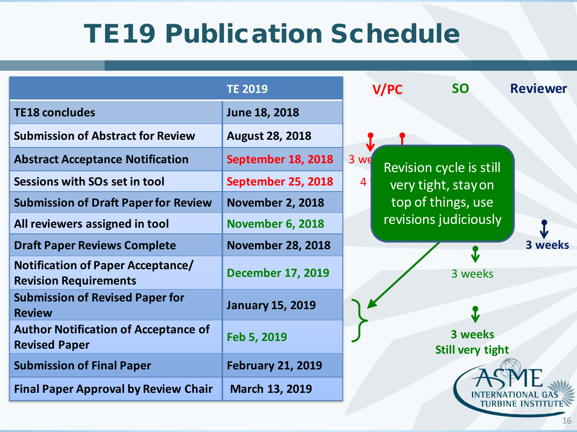|                                                                     | <b>TE 2019</b>           |                | <b>V/PC</b> | <b>SO</b>                          | <b>Reviewer</b> |
|---------------------------------------------------------------------|--------------------------|----------------|-------------|------------------------------------|-----------------|
| <b>TE18 concludes</b>                                               | June 18, 2018            |                |             |                                    |                 |
| <b>Submission of Abstract for Review</b>                            | <b>August 28, 2018</b>   |                |             |                                    |                 |
| <b>Abstract Acceptance Notification</b>                             | September 18, 2018       | $3$ we         |             | Revision cycle is still            |                 |
| Sessions with SOs set in tool                                       | September 25, 2018       | $\overline{4}$ |             | very tight, stay on                |                 |
| <b>Submission of Draft Paper for Review</b>                         | <b>November 2, 2018</b>  |                |             | top of things, use                 |                 |
| All reviewers assigned in tool                                      | <b>November 6, 2018</b>  |                |             | revisions judiciously              |                 |
| <b>Draft Paper Reviews Complete</b>                                 | <b>November 28, 2018</b> |                |             | J                                  | 3 weeks         |
| Notification of Paper Acceptance/<br><b>Revision Requirements</b>   | <b>December 17, 2019</b> |                |             | 3 weeks                            |                 |
| <b>Submission of Revised Paper for</b><br><b>Review</b>             | <b>January 15, 2019</b>  |                |             | $\bf{J}$                           |                 |
| <b>Author Notification of Acceptance of</b><br><b>Revised Paper</b> | Feb 5, 2019              |                |             | 3 weeks<br><b>Still very tight</b> |                 |
| <b>Submission of Final Paper</b>                                    | <b>February 21, 2019</b> |                |             |                                    |                 |
| <b>Final Paper Approval by Review Chair</b>                         | March 13, 2019           |                |             |                                    |                 |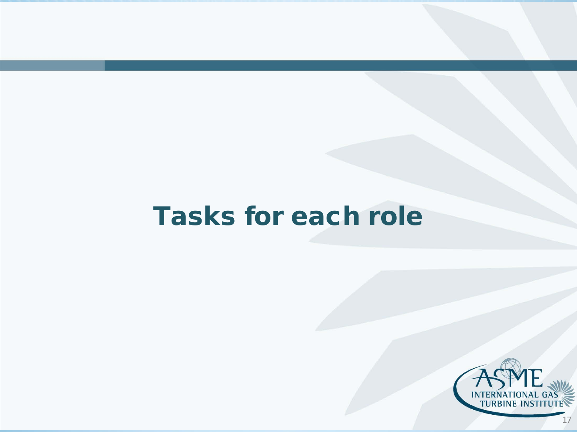### Tasks for each role



17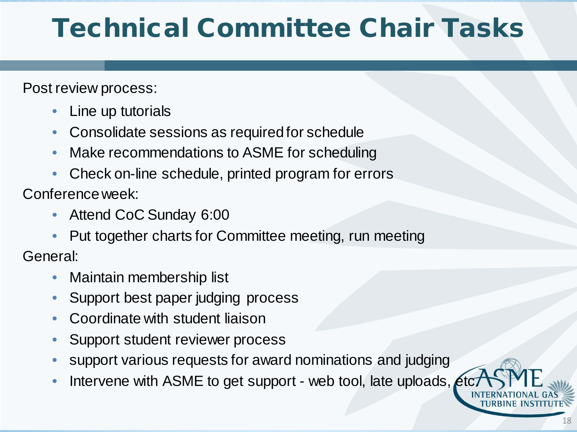### Technical Committee Chair Tasks

Post review process:

- Line up tutorials
- Consolidate sessions as required for schedule
- Make recommendations to ASME for scheduling
- Check on-line schedule, printed program for errors

Conference week:

- Attend CoC Sunday 6:00
- Put together charts for Committee meeting, run meeting

General:

- Maintain membership list
- Support best paper judging process
- Coordinate with student liaison
- Support student reviewer process
- support various requests for award nominations and judging
- Intervene with ASME to get support web tool, late uploads, etc.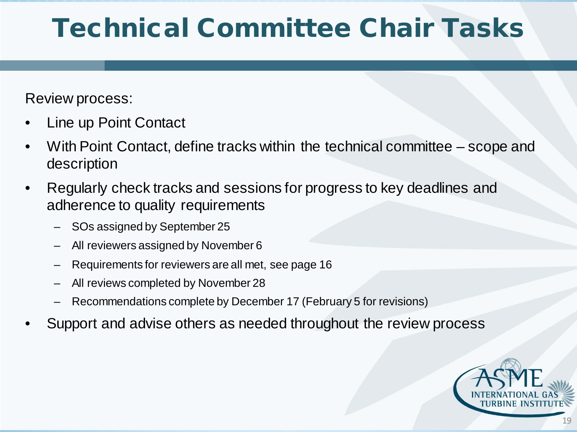### Technical Committee Chair Tasks

Review process:

- Line up Point Contact
- With Point Contact, define tracks within the technical committee scope and description
- Regularly check tracks and sessions for progress to key deadlines and adherence to quality requirements
	- SOs assigned by September 25
	- All reviewers assigned by November 6
	- Requirements for reviewers are all met, see page 16
	- All reviews completed by November 28
	- Recommendations complete by December 17 (February 5 for revisions)
- Support and advise others as needed throughout the review process

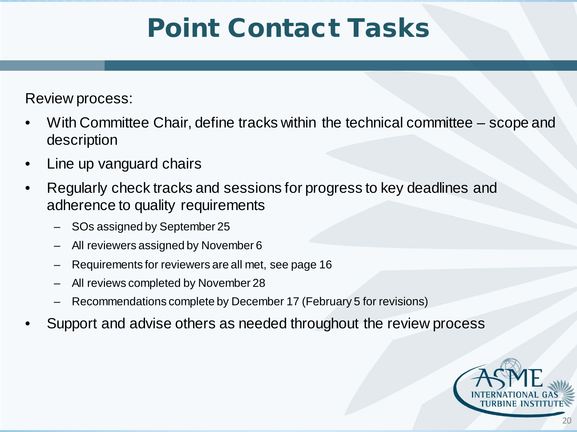### Point Contact Tasks

Review process:

- With Committee Chair, define tracks within the technical committee scope and description
- Line up vanguard chairs
- Regularly check tracks and sessions for progress to key deadlines and adherence to quality requirements
	- SOs assigned by September 25
	- All reviewers assigned by November 6
	- Requirements for reviewers are all met, see page 16
	- All reviews completed by November 28
	- Recommendations complete by December 17 (February 5 for revisions)
- Support and advise others as needed throughout the review process

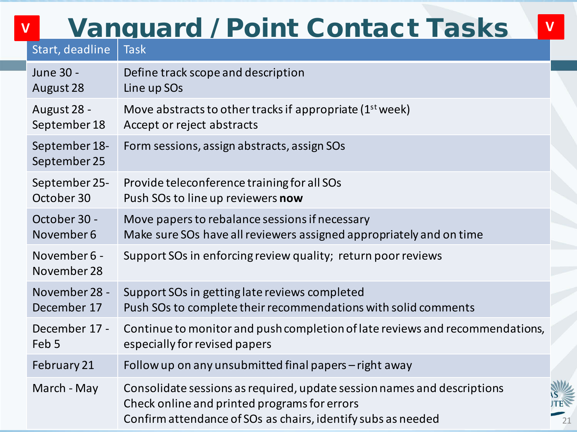### Vanguard / Point Contact Tasks **V V**

| Start, deadline               | <b>Task</b>                                                                                                                                                                             |
|-------------------------------|-----------------------------------------------------------------------------------------------------------------------------------------------------------------------------------------|
| June 30 -                     | Define track scope and description                                                                                                                                                      |
| August 28                     | Line up SOs                                                                                                                                                                             |
| August 28 -                   | Move abstracts to other tracks if appropriate $(1st week)$                                                                                                                              |
| September 18                  | Accept or reject abstracts                                                                                                                                                              |
| September 18-<br>September 25 | Form sessions, assign abstracts, assign SOs                                                                                                                                             |
| September 25-                 | Provide teleconference training for all SOs                                                                                                                                             |
| October 30                    | Push SOs to line up reviewers now                                                                                                                                                       |
| October 30 -                  | Move papers to rebalance sessions if necessary                                                                                                                                          |
| November 6                    | Make sure SOs have all reviewers assigned appropriately and on time                                                                                                                     |
| November 6 -<br>November 28   | Support SOs in enforcing review quality; return poor reviews                                                                                                                            |
| November 28 -                 | Support SOs in getting late reviews completed                                                                                                                                           |
| December 17                   | Push SOs to complete their recommendations with solid comments                                                                                                                          |
| December 17 -                 | Continue to monitor and push completion of late reviews and recommendations,                                                                                                            |
| Feb 5                         | especially for revised papers                                                                                                                                                           |
| February 21                   | Follow up on any unsubmitted final papers - right away                                                                                                                                  |
| March - May                   | Consolidate sessions as required, update session names and descriptions<br>Check online and printed programs for errors<br>Confirm attendance of SOs as chairs, identify subs as needed |

21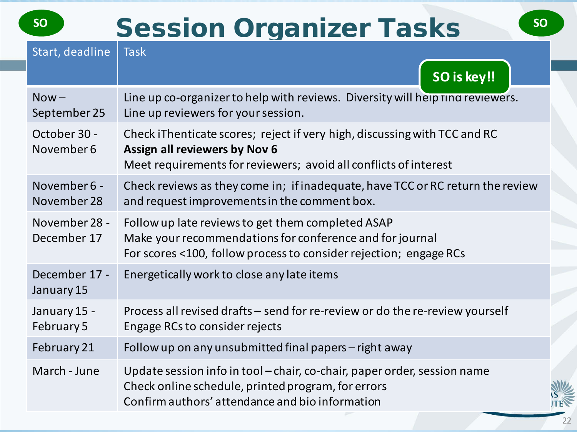### **SOURISE SESSION Organizer Tasks**

| Start, deadline              | <b>Task</b><br>SO is key!!                                                                                                                                                         |
|------------------------------|------------------------------------------------------------------------------------------------------------------------------------------------------------------------------------|
| $Now -$<br>September 25      | Line up co-organizer to help with reviews. Diversity will help rind reviewers.<br>Line up reviewers for your session.                                                              |
| October 30 -<br>November 6   | Check iThenticate scores; reject if very high, discussing with TCC and RC<br>Assign all reviewers by Nov 6<br>Meet requirements for reviewers; avoid all conflicts of interest     |
| November 6 -<br>November 28  | Check reviews as they come in; if inadequate, have TCC or RC return the review<br>and request improvements in the comment box.                                                     |
| November 28 -<br>December 17 | Follow up late reviews to get them completed ASAP<br>Make your recommendations for conference and for journal<br>For scores <100, follow process to consider rejection; engage RCs |
| December 17 -<br>January 15  | Energetically work to close any late items                                                                                                                                         |
| January 15 -<br>February 5   | Process all revised drafts - send for re-review or do the re-review yourself<br>Engage RCs to consider rejects                                                                     |
| February 21                  | Follow up on any unsubmitted final papers - right away                                                                                                                             |
| March - June                 | Update session info in tool – chair, co-chair, paper order, session name<br>Check online schedule, printed program, for errors<br>Confirm authors' attendance and bio information  |

22

**JTEN**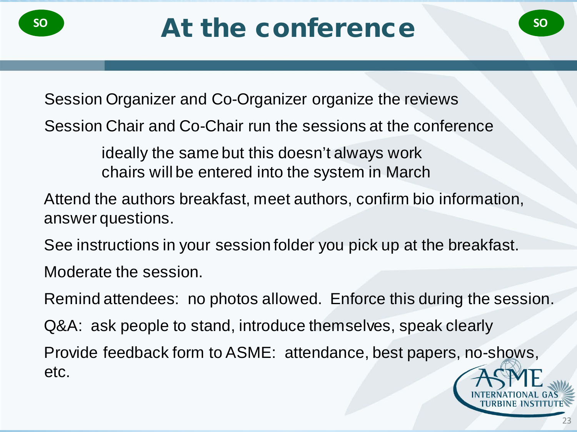Session Organizer and Co-Organizer organize the reviews

Session Chair and Co-Chair run the sessions at the conference

ideally the same but this doesn't always work chairs will be entered into the system in March

Attend the authors breakfast, meet authors, confirm bio information, answer questions.

See instructions in your session folder you pick up at the breakfast.

Moderate the session.

Remind attendees: no photos allowed. Enforce this during the session.

Q&A: ask people to stand, introduce themselves, speak clearly

Provide feedback form to ASME: attendance, best papers, no-shows, etc.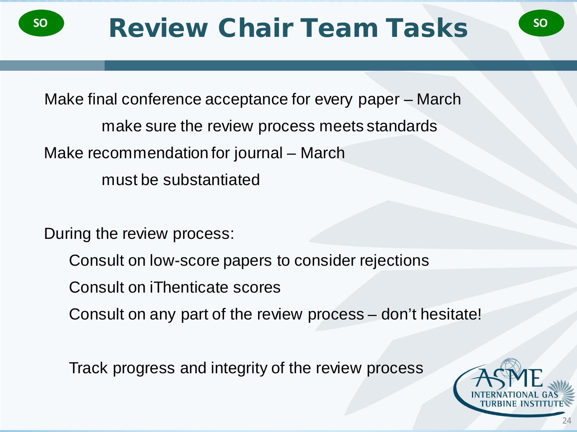

Make final conference acceptance for every paper – March make sure the review process meets standards Make recommendation for journal – March must be substantiated

During the review process:

- Consult on low-score papers to consider rejections
- Consult on iThenticate scores
- Consult on any part of the review process don't hesitate!

Track progress and integrity of the review process



24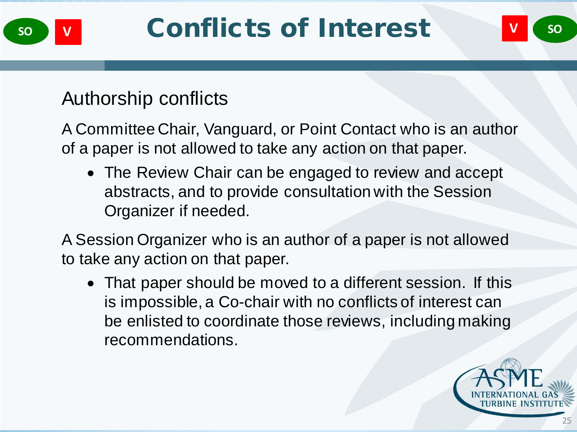

### Authorship conflicts

A Committee Chair, Vanguard, or Point Contact who is an author of a paper is not allowed to take any action on that paper.

• The Review Chair can be engaged to review and accept abstracts, and to provide consultation with the Session Organizer if needed.

A Session Organizer who is an author of a paper is not allowed to take any action on that paper.

• That paper should be moved to a different session. If this is impossible, a Co-chair with no conflicts of interest can be enlisted to coordinate those reviews, including making recommendations.

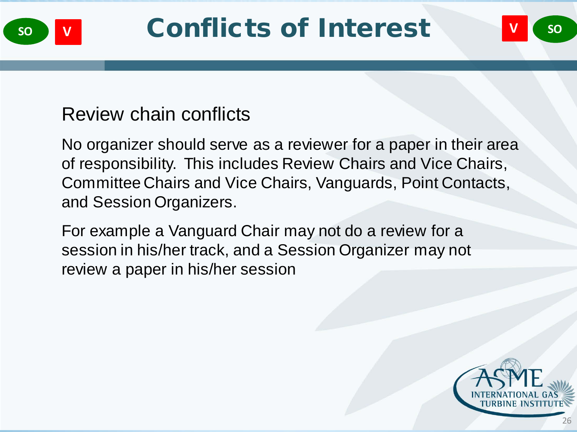

### Review chain conflicts

No organizer should serve as a reviewer for a paper in their area of responsibility. This includes Review Chairs and Vice Chairs, Committee Chairs and Vice Chairs, Vanguards, Point Contacts, and Session Organizers.

For example a Vanguard Chair may not do a review for a session in his/her track, and a Session Organizer may not review a paper in his/her session

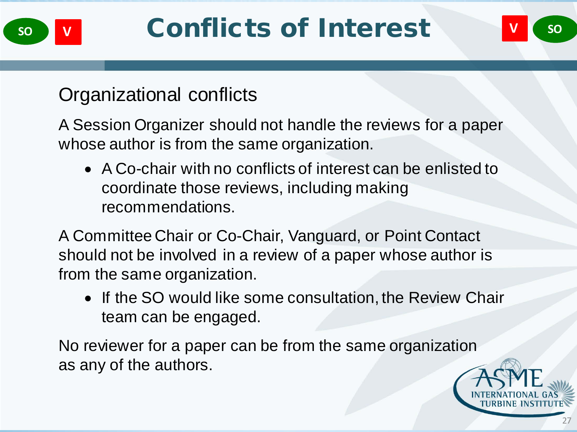

### Organizational conflicts

A Session Organizer should not handle the reviews for a paper whose author is from the same organization.

• A Co-chair with no conflicts of interest can be enlisted to coordinate those reviews, including making recommendations.

A Committee Chair or Co-Chair, Vanguard, or Point Contact should not be involved in a review of a paper whose author is from the same organization.

• If the SO would like some consultation, the Review Chair team can be engaged.

No reviewer for a paper can be from the same organization as any of the authors.

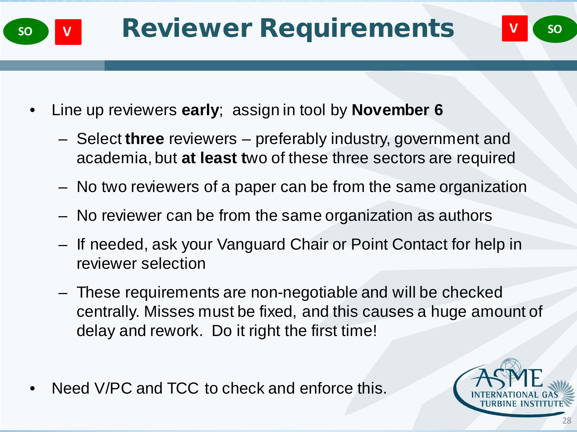

- Line up reviewers **early**; assign in tool by **November 6**
	- Select **three** reviewers preferably industry, government and academia, but **at least t**wo of these three sectors are required
	- No two reviewers of a paper can be from the same organization
	- No reviewer can be from the same organization as authors
	- If needed, ask your Vanguard Chair or Point Contact for help in reviewer selection
	- These requirements are non-negotiable and will be checked centrally. Misses must be fixed, and this causes a huge amount of delay and rework. Do it right the first time!
- Need V/PC and TCC to check and enforce this.

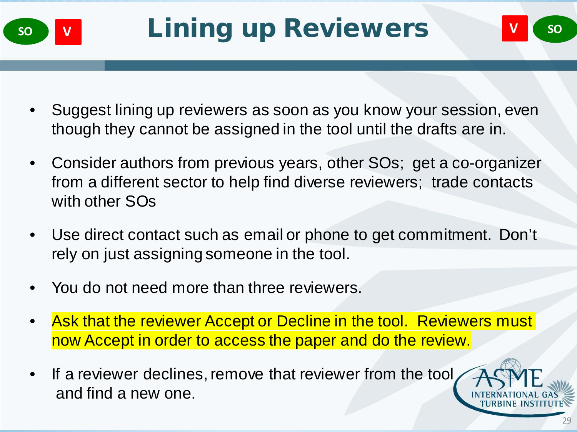

- Suggest lining up reviewers as soon as you know your session, even though they cannot be assigned in the tool until the drafts are in.
- Consider authors from previous years, other SOs; get a co-organizer from a different sector to help find diverse reviewers; trade contacts with other SOs
- Use direct contact such as email or phone to get commitment. Don't rely on just assigning someone in the tool.
- You do not need more than three reviewers.
- Ask that the reviewer Accept or Decline in the tool. Reviewers must now Accept in order to access the paper and do the review.
- If a reviewer declines, remove that reviewer from the tool and find a new one.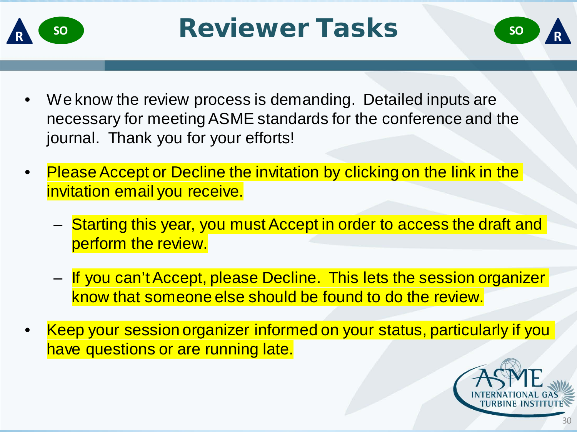

- We know the review process is demanding. Detailed inputs are necessary for meeting ASME standards for the conference and the journal. Thank you for your efforts!
- Please Accept or Decline the invitation by clicking on the link in the invitation email you receive.
	- Starting this year, you must Accept in order to access the draft and perform the review.
	- If you can't Accept, please Decline. This lets the session organizer know that someone else should be found to do the review.
- Keep your session organizer informed on your status, particularly if you have questions or are running late.

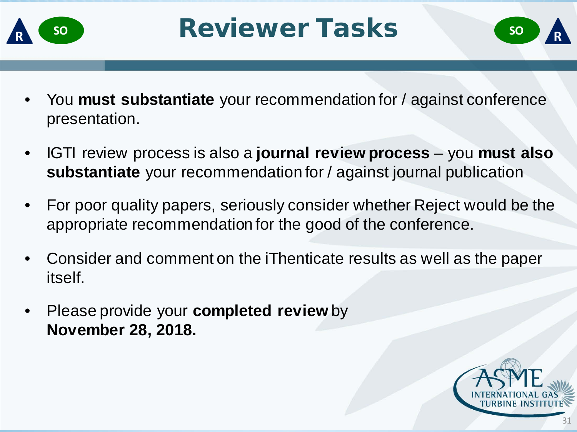

- You **must substantiate** your recommendation for / against conference presentation.
- IGTI review process is also a **journal review process** you **must also substantiate** your recommendation for / against journal publication
- For poor quality papers, seriously consider whether Reject would be the appropriate recommendation for the good of the conference.
- Consider and comment on the iThenticate results as well as the paper itself.
- Please provide your **completed review** by **November 28, 2018.**

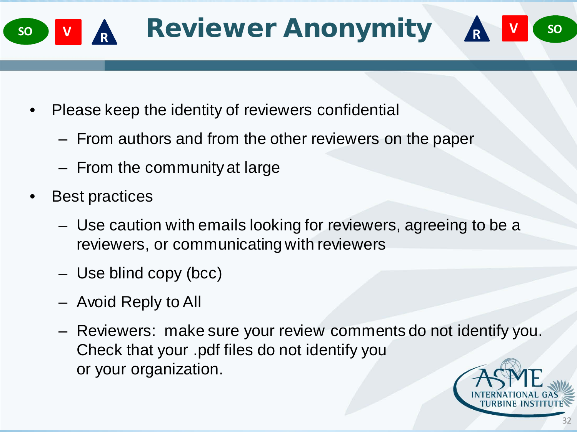

- Please keep the identity of reviewers confidential
	- From authors and from the other reviewers on the paper
	- From the community at large
- Best practices
	- Use caution with emails looking for reviewers, agreeing to be a reviewers, or communicating with reviewers
	- Use blind copy (bcc)
	- Avoid Reply to All
	- Reviewers: make sure your review comments do not identify you. Check that your .pdf files do not identify you or your organization.

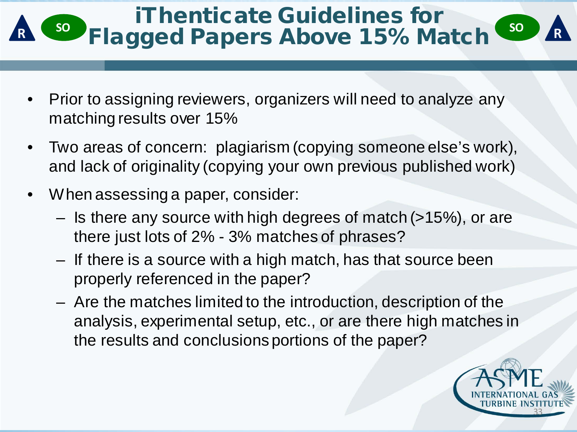### iThenticate Guidelines for **Referred Band 2 State 2 Soldary Above 15% Match**  $\frac{80}{20}$

- Prior to assigning reviewers, organizers will need to analyze any matching results over 15%
- Two areas of concern: plagiarism (copying someone else's work), and lack of originality (copying your own previous published work)
- When assessing a paper, consider:
	- Is there any source with high degrees of match (>15%), or are there just lots of 2% - 3% matches of phrases?
	- If there is a source with a high match, has that source been properly referenced in the paper?
	- Are the matches limited to the introduction, description of the analysis, experimental setup, etc., or are there high matches in the results and conclusions portions of the paper?

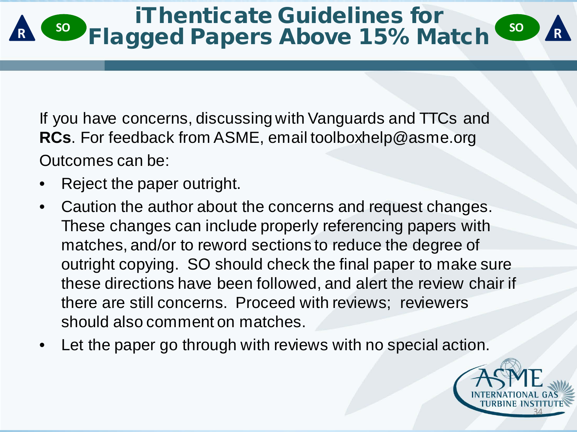### iThenticate Guidelines for **Referred Band 2018 SOLUTION CONTROLLER** SOLUTION CONTROLLER

If you have concerns, discussing with Vanguards and TTCs and **RCs**. For feedback from ASME, email toolboxhelp@asme.org Outcomes can be:

- Reject the paper outright.
- Caution the author about the concerns and request changes. These changes can include properly referencing papers with matches, and/or to reword sections to reduce the degree of outright copying. SO should check the final paper to make sure these directions have been followed, and alert the review chair if there are still concerns. Proceed with reviews; reviewers should also comment on matches.
- Let the paper go through with reviews with no special action.

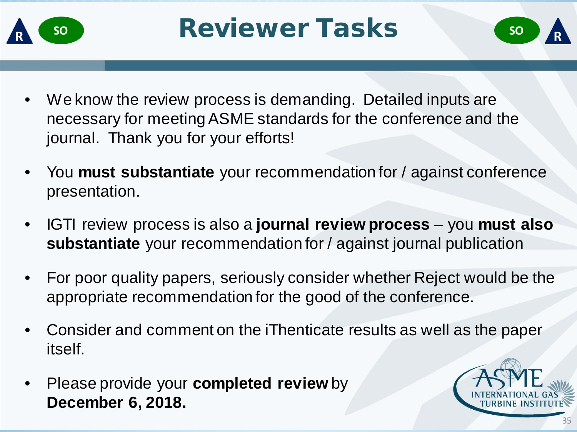

- We know the review process is demanding. Detailed inputs are necessary for meeting ASME standards for the conference and the journal. Thank you for your efforts!
- You **must substantiate** your recommendation for / against conference presentation.
- IGTI review process is also a **journal review process** you **must also substantiate** your recommendation for / against journal publication
- For poor quality papers, seriously consider whether Reject would be the appropriate recommendation for the good of the conference.
- Consider and comment on the iThenticate results as well as the paper itself.
- Please provide your **completed review** by **December 6, 2018.**

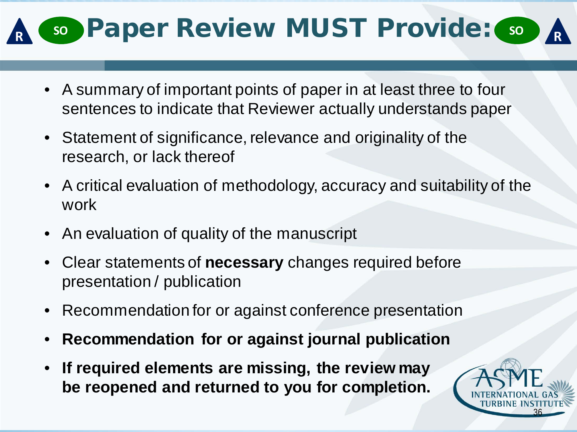## **80 Paper Review MUST Provide:**  $\bullet$

- A summary of important points of paper in at least three to four sentences to indicate that Reviewer actually understands paper
- Statement of significance, relevance and originality of the research, or lack thereof
- A critical evaluation of methodology, accuracy and suitability of the work
- An evaluation of quality of the manuscript
- Clear statements of **necessary** changes required before presentation / publication
- Recommendation for or against conference presentation
- **Recommendation for or against journal publication**
- **If required elements are missing, the review may be reopened and returned to you for completion.**

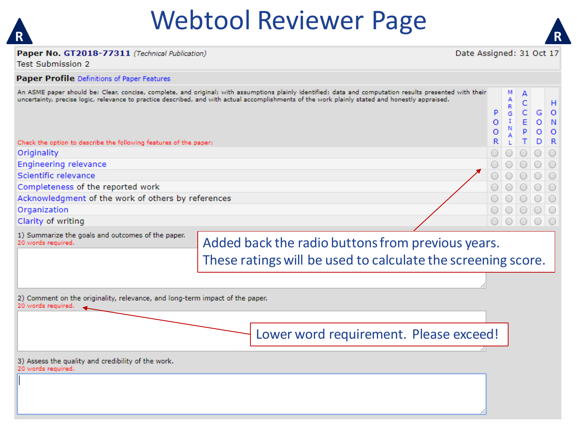

### Webtool Reviewer Page **R R**



А Ċ

н

 $\Omega$ 

Ġ

#### Paper No. GT2018-77311 (Technical Publication)

Date Assigned: 31 Oct 17

 $\Omega$ 

M

Test Submission 2

#### **Paper Profile Definitions of Paper Features**

| An ASME paper should be: Clear, concise, complete, and original; with assumptions plainly identified; data and computation results presented with their |                |  |
|---------------------------------------------------------------------------------------------------------------------------------------------------------|----------------|--|
| uncertainty, precise logic, relevance to practice described, and with actual accomplishments of the work plainly stated and honestly appraised.         |                |  |
|                                                                                                                                                         |                |  |
|                                                                                                                                                         | $P_{\text{G}}$ |  |

|                                                                   |                 |       |         | $O$ $O$         |
|-------------------------------------------------------------------|-----------------|-------|---------|-----------------|
| Check the option to describe the following features of the paper: | $R_{\parallel}$ |       | $T$ D R |                 |
| Originality                                                       |                 | 00000 |         |                 |
| Engineering relevance                                             |                 | 00000 |         |                 |
| Scientific relevance                                              |                 | 00000 |         |                 |
| Completeness of the reported work                                 |                 | 00000 |         |                 |
| Acknowledgment of the work of others by references                |                 | 00000 |         |                 |
| Organization                                                      |                 |       |         | $\circ$ $\circ$ |
| Clarity of writing                                                |                 |       |         |                 |

Clarity of writing

|                    | 1) Summarize the goals and outcomes of the paper. |
|--------------------|---------------------------------------------------|
| 20 words required. |                                                   |

#### Added back the radio buttons from previous years. These ratings will be used to calculate the screening score.

2) Comment on the originality, relevance, and long-term impact of the paper. 20 words required.

Lower word requirement. Please exceed!

3) Assess the quality and credibility of the work. 20 words required.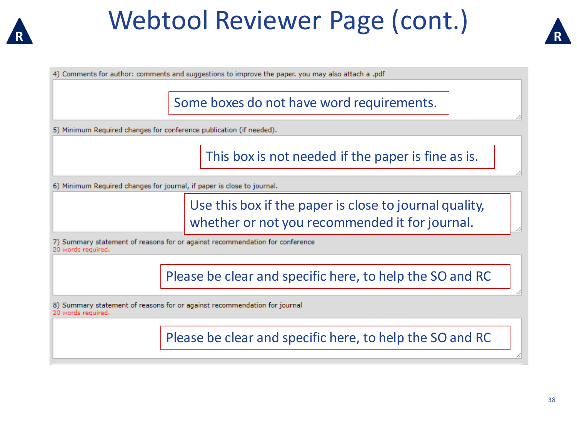

### Webtool Reviewer Page (cont.) **R R**



4) Comments for author: comments and suggestions to improve the paper, you may also attach a .pdf

Some boxes do not have word requirements.

5) Minimum Required changes for conference publication (if needed).

This box is not needed if the paper is fine as is.

6) Minimum Required changes for journal, if paper is close to journal.

Use this box if the paper is close to journal quality, whether or not you recommended it for journal.

7) Summary statement of reasons for or against recommendation for conference 20 words required.

Please be clear and specific here, to help the SO and RC

8) Summary statement of reasons for or against recommendation for journal 20 words required.

Please be clear and specific here, to help the SO and RC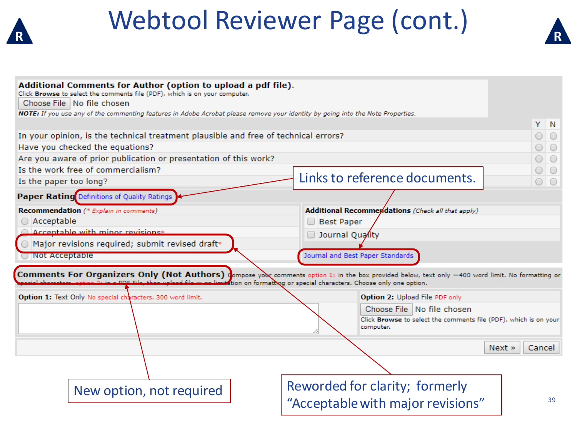



| Additional Comments for Author (option to upload a pdf file).<br>Click Browse to select the comments file (PDF), which is on your computer.<br>Choose File   No file chosen<br>NOTE: If you use any of the commenting features in Adobe Acrobat please remove your identity by going into the Note Properties. |                                                                               |                |
|----------------------------------------------------------------------------------------------------------------------------------------------------------------------------------------------------------------------------------------------------------------------------------------------------------------|-------------------------------------------------------------------------------|----------------|
|                                                                                                                                                                                                                                                                                                                |                                                                               | Y N            |
| In your opinion, is the technical treatment plausible and free of technical errors?                                                                                                                                                                                                                            |                                                                               | $\bigcirc$     |
| Have you checked the equations?                                                                                                                                                                                                                                                                                |                                                                               | $\bigcirc$     |
| Are you aware of prior publication or presentation of this work?                                                                                                                                                                                                                                               |                                                                               | $\circ$        |
| Is the work free of commercialism?                                                                                                                                                                                                                                                                             |                                                                               | $\bigcirc$     |
| Is the paper too long?                                                                                                                                                                                                                                                                                         | Links to reference documents.                                                 | $\circ$        |
| Paper Rating Definitions of Quality Ratings                                                                                                                                                                                                                                                                    |                                                                               |                |
| Recommendation (* Explain in comments)                                                                                                                                                                                                                                                                         | <b>Additional Recommendations</b> (Check all that apply)                      |                |
| ◯ Acceptable                                                                                                                                                                                                                                                                                                   | <b>Best Paper</b><br>$\Box$                                                   |                |
| $\bigcirc$ Accentable with minor revisions*                                                                                                                                                                                                                                                                    | Journal Quality                                                               |                |
| ◯ Major revisions required; submit revised draft*                                                                                                                                                                                                                                                              |                                                                               |                |
| Not Acceptable                                                                                                                                                                                                                                                                                                 | Journal and Best Paper Standards                                              |                |
|                                                                                                                                                                                                                                                                                                                |                                                                               |                |
| Comments For Organizers Only (Not Authors) Compose you comments option 1: in the box provided below, text only -400 word limit. No formatting or                                                                                                                                                               | ation on formatting or special characters. Choose only one option.            |                |
| Option 1: Text Only No special characters. 300 word limit.                                                                                                                                                                                                                                                     | Option 2: Upload File PDF only                                                |                |
|                                                                                                                                                                                                                                                                                                                | Choose File   No file chosen                                                  |                |
|                                                                                                                                                                                                                                                                                                                | Click Browse to select the comments file (PDF), which is on your<br>computer. |                |
|                                                                                                                                                                                                                                                                                                                |                                                                               | Next<br>Cancel |
|                                                                                                                                                                                                                                                                                                                |                                                                               |                |
|                                                                                                                                                                                                                                                                                                                | Reworded for clarity; formerly                                                |                |
| New option, not required                                                                                                                                                                                                                                                                                       |                                                                               | 39             |
|                                                                                                                                                                                                                                                                                                                | "Acceptable with major revisions"                                             |                |
|                                                                                                                                                                                                                                                                                                                |                                                                               |                |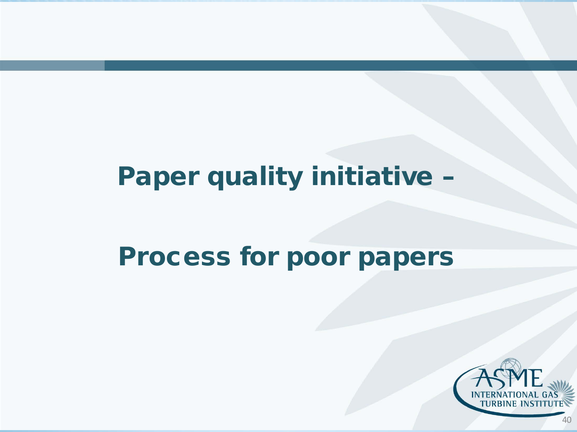### Paper quality initiative –

### Process for poor papers



40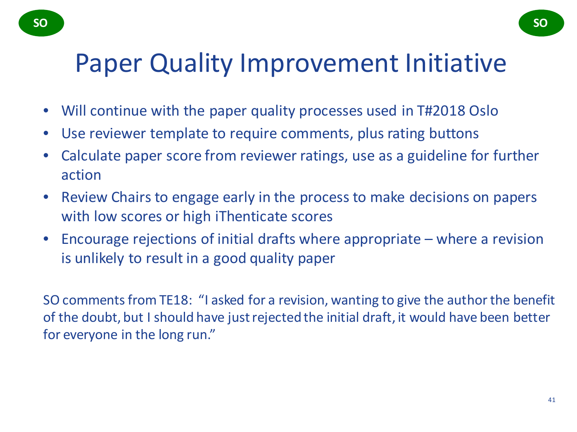### Paper Quality Improvement Initiative

- Will continue with the paper quality processes used in T#2018 Oslo
- Use reviewer template to require comments, plus rating buttons
- Calculate paper score from reviewer ratings, use as a guideline for further action
- Review Chairs to engage early in the process to make decisions on papers with low scores or high iThenticate scores
- Encourage rejections of initial drafts where appropriate where a revision is unlikely to result in a good quality paper

SO comments from TE18: "I asked for a revision, wanting to give the author the benefit of the doubt, but I should have just rejected the initial draft, it would have been better for everyone in the long run."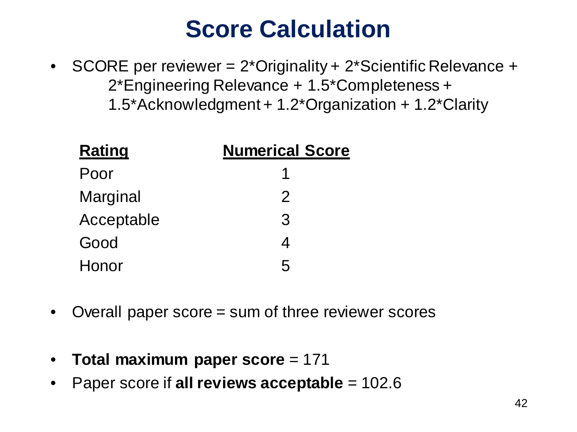### **Score Calculation**

• SCORE per reviewer = 2\*Originality + 2\*Scientific Relevance + 2\*Engineering Relevance + 1.5\*Completeness + 1.5\*Acknowledgment + 1.2\*Organization + 1.2\*Clarity

| <b>Rating</b> | <b>Numerical Score</b> |
|---------------|------------------------|
| Poor          |                        |
| Marginal      | $\mathcal{P}$          |
| Acceptable    | 3                      |
| Good          | 4                      |
| Honor         | $\overline{5}$         |

- Overall paper score = sum of three reviewer scores
- **Total maximum paper score** = 171
- Paper score if **all reviews acceptable** = 102.6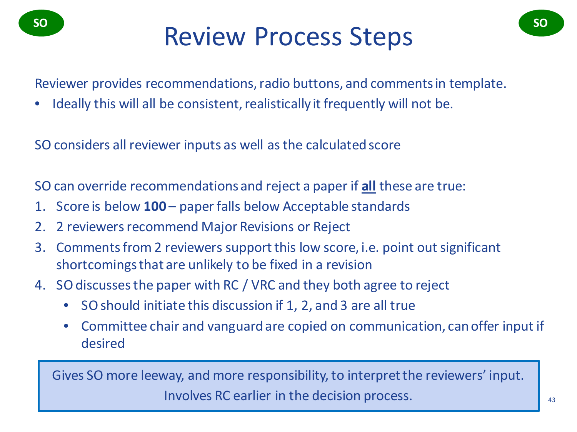# so **Review Process Steps**

Reviewer provides recommendations, radio buttons, and comments in template.

• Ideally this will all be consistent, realistically it frequently will not be.

SO considers all reviewer inputs as well as the calculated score

SO can override recommendations and reject a paper if **all** these are true:

- 1. Score is below **100** paper falls below Acceptable standards
- 2. 2 reviewers recommend Major Revisions or Reject
- 3. Comments from 2 reviewers support this low score, i.e. point out significant shortcomings that are unlikely to be fixed in a revision
- 4. SO discusses the paper with RC / VRC and they both agree to reject
	- SO should initiate this discussion if 1, 2, and 3 are all true
	- Committee chair and vanguard are copied on communication, can offer input if desired

Gives SO more leeway, and more responsibility, to interpret the reviewers' input. Involves RC earlier in the decision process.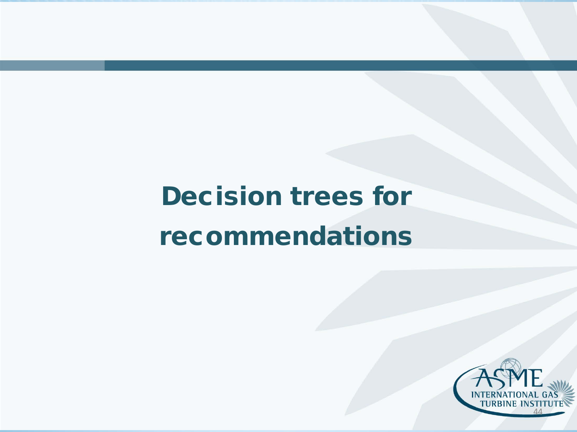## Decision trees for recommendations

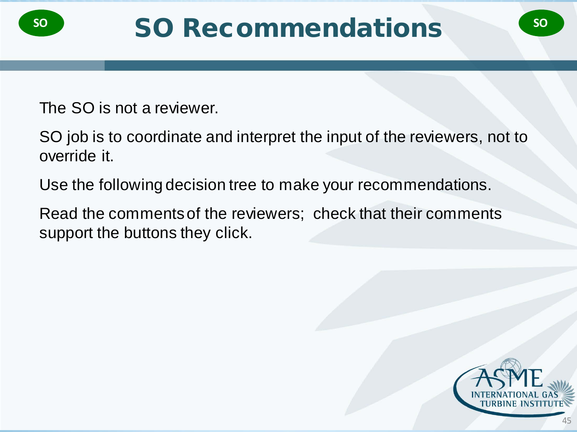The SO is not a reviewer.

SO job is to coordinate and interpret the input of the reviewers, not to override it.

Use the following decision tree to make your recommendations.

Read the comments of the reviewers; check that their comments support the buttons they click.

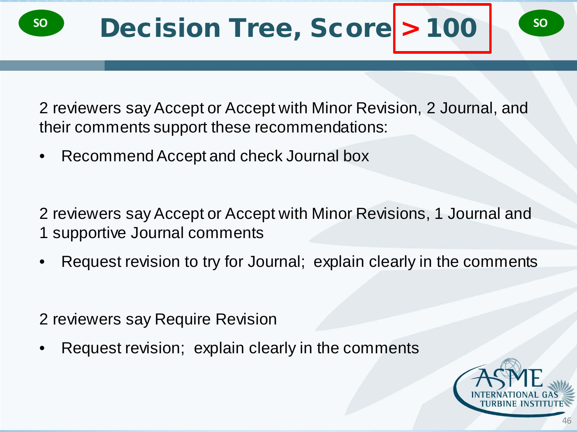

2 reviewers say Accept or Accept with Minor Revision, 2 Journal, and their comments support these recommendations:

• Recommend Accept and check Journal box

2 reviewers say Accept or Accept with Minor Revisions, 1 Journal and 1 supportive Journal comments

- Request revision to try for Journal; explain clearly in the comments
- 2 reviewers say Require Revision
- Request revision; explain clearly in the comments

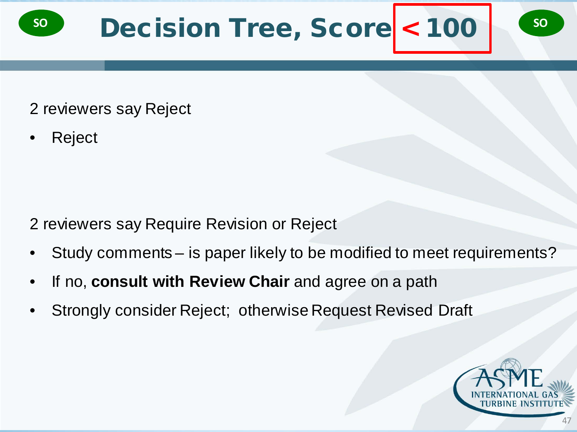

- 2 reviewers say Reject
- Reject

- 2 reviewers say Require Revision or Reject
- Study comments is paper likely to be modified to meet requirements?
- If no, **consult with Review Chair** and agree on a path
- Strongly consider Reject; otherwise Request Revised Draft

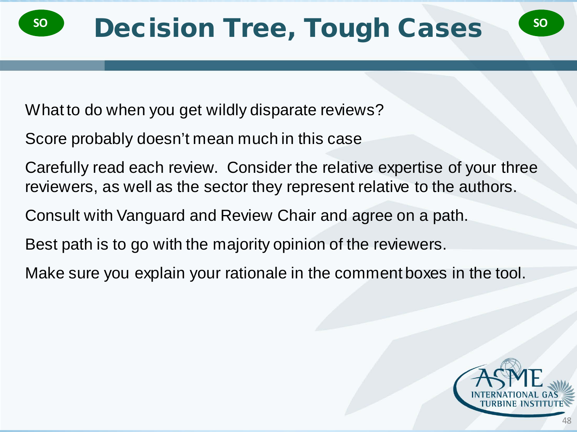What to do when you get wildly disparate reviews?

Score probably doesn't mean much in this case

Carefully read each review. Consider the relative expertise of your three reviewers, as well as the sector they represent relative to the authors.

Consult with Vanguard and Review Chair and agree on a path.

Best path is to go with the majority opinion of the reviewers.

Make sure you explain your rationale in the comment boxes in the tool.

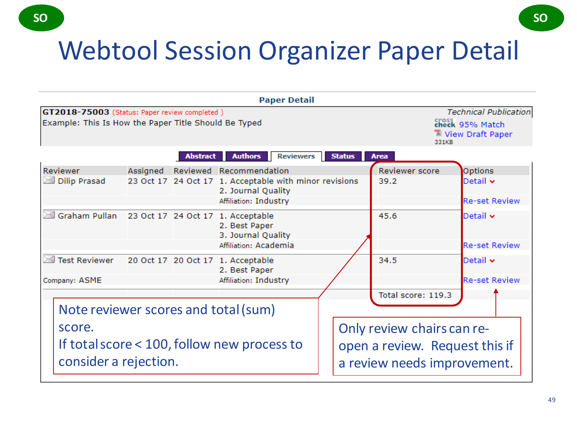### Webtool Session Organizer Paper Detail



**SO SO**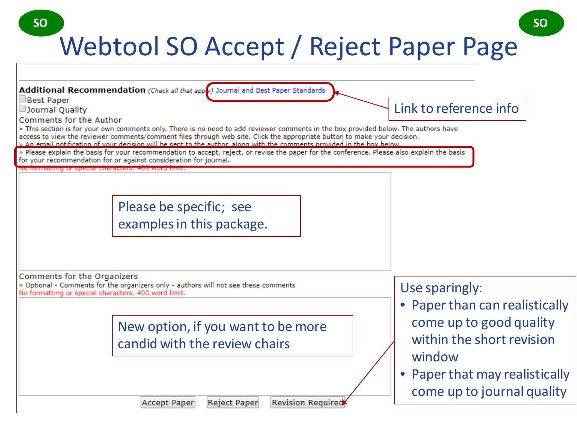### Webtool SO Accept / Reject Paper Page **SO SO**

| Additional Recommendation (Check all that appv) Journal and Best Paper Standards                                                                                                                                                                                                           |                                |
|--------------------------------------------------------------------------------------------------------------------------------------------------------------------------------------------------------------------------------------------------------------------------------------------|--------------------------------|
| Best Paper<br>Journal Quality                                                                                                                                                                                                                                                              | Link to reference info         |
| Comments for the Author<br>» This section is for your own comments only. There is no need to add reviewer comments in the box provided below. The authors have<br>access to view the reviewer comments/comment files through web site. Click the appropriate button to make your decision. |                                |
| » An email notification of your decision will be sent to the author, along with the comments provided in the box below<br>» Please explain the basis for your recommendation to accept, reject, or revise the paper for the conference. Please also explain the basis                      |                                |
| for your recommendation for or against consideration for journal.<br><b>[이미] [이번에 대학 기사적인 대학 대학 대학 대학 전 대학 대학 대학 대학 전 대학 대학 시간이 되어 있다.</b>                                                                                                                                                 |                                |
|                                                                                                                                                                                                                                                                                            |                                |
| Please be specific; see                                                                                                                                                                                                                                                                    |                                |
| examples in this package.                                                                                                                                                                                                                                                                  |                                |
|                                                                                                                                                                                                                                                                                            |                                |
|                                                                                                                                                                                                                                                                                            |                                |
| Comments for the Organizers<br>» Optional - Comments for the organizers only - authors will not see these comments                                                                                                                                                                         | Use sparingly:                 |
| No formatting or special characters. 400 word limit.                                                                                                                                                                                                                                       | • Paper than can realistically |
| New option, if you want to be more                                                                                                                                                                                                                                                         | come up to good quality        |
| candid with the review chairs                                                                                                                                                                                                                                                              | within the short revision      |
|                                                                                                                                                                                                                                                                                            | window                         |
|                                                                                                                                                                                                                                                                                            | • Paper that may realistically |
|                                                                                                                                                                                                                                                                                            | come up to journal quality     |
| <b>Revision Required</b><br>Reject Paper<br>Accept Paper                                                                                                                                                                                                                                   |                                |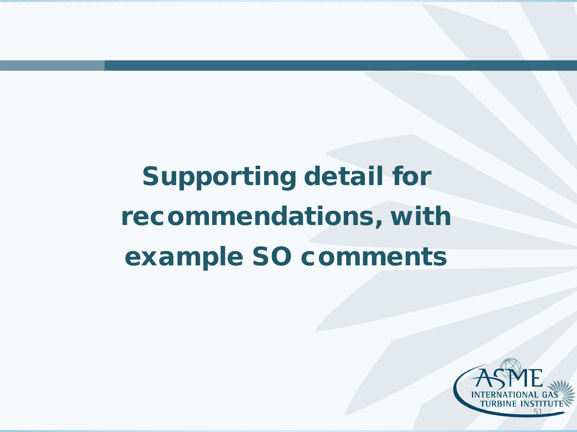# Supporting detail for recommendations, with example SO comments

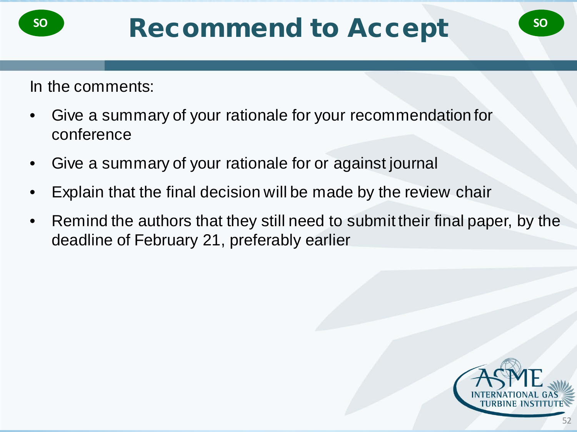In the comments:

- Give a summary of your rationale for your recommendation for conference
- Give a summary of your rationale for or against journal
- Explain that the final decision will be made by the review chair
- Remind the authors that they still need to submit their final paper, by the deadline of February 21, preferably earlier

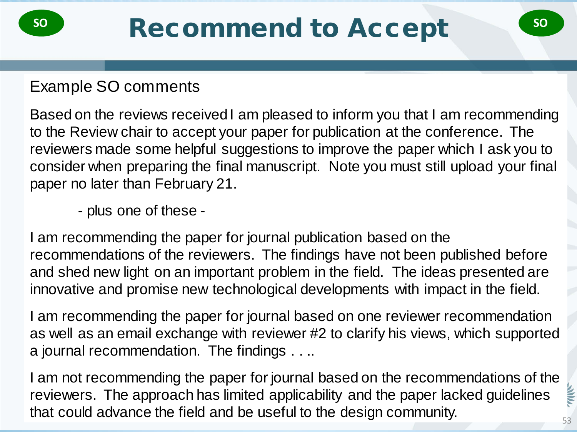#### Example SO comments

Based on the reviews received I am pleased to inform you that I am recommending to the Review chair to accept your paper for publication at the conference. The reviewers made some helpful suggestions to improve the paper which I ask you to consider when preparing the final manuscript. Note you must still upload your final paper no later than February 21.

- plus one of these -

I am recommending the paper for journal publication based on the recommendations of the reviewers. The findings have not been published before and shed new light on an important problem in the field. The ideas presented are innovative and promise new technological developments with impact in the field.

I am recommending the paper for journal based on one reviewer recommendation as well as an email exchange with reviewer #2 to clarify his views, which supported a journal recommendation. The findings . . ..

I am not recommending the paper for journal based on the recommendations of the reviewers. The approach has limited applicability and the paper lacked guidelines that could advance the field and be useful to the design community.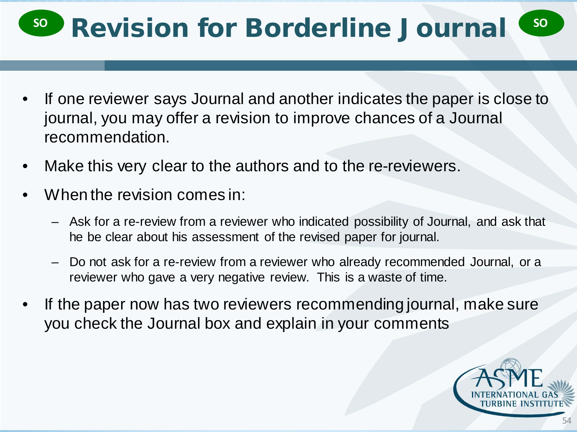## **Revision for Borderline Journal**

- If one reviewer says Journal and another indicates the paper is close to journal, you may offer a revision to improve chances of a Journal recommendation.
- Make this very clear to the authors and to the re-reviewers.
- When the revision comes in:
	- Ask for a re-review from a reviewer who indicated possibility of Journal, and ask that he be clear about his assessment of the revised paper for journal.
	- Do not ask for a re-review from a reviewer who already recommended Journal, or a reviewer who gave a very negative review. This is a waste of time.
- If the paper now has two reviewers recommending journal, make sure you check the Journal box and explain in your comments

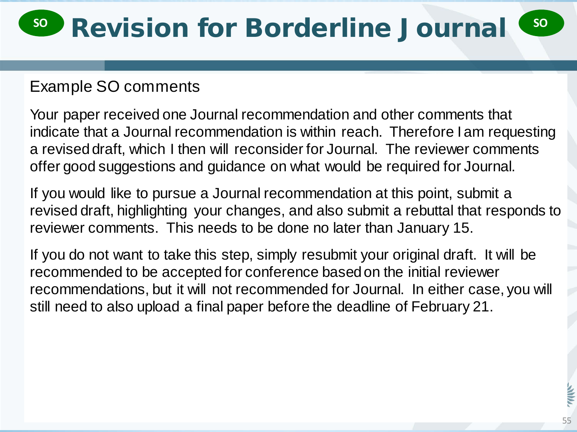### Example SO comments

Your paper received one Journal recommendation and other comments that indicate that a Journal recommendation is within reach. Therefore I am requesting a revised draft, which I then will reconsider for Journal. The reviewer comments offer good suggestions and guidance on what would be required for Journal.

If you would like to pursue a Journal recommendation at this point, submit a revised draft, highlighting your changes, and also submit a rebuttal that responds to reviewer comments. This needs to be done no later than January 15.

If you do not want to take this step, simply resubmit your original draft. It will be recommended to be accepted for conference based on the initial reviewer recommendations, but it will not recommended for Journal. In either case, you will still need to also upload a final paper before the deadline of February 21.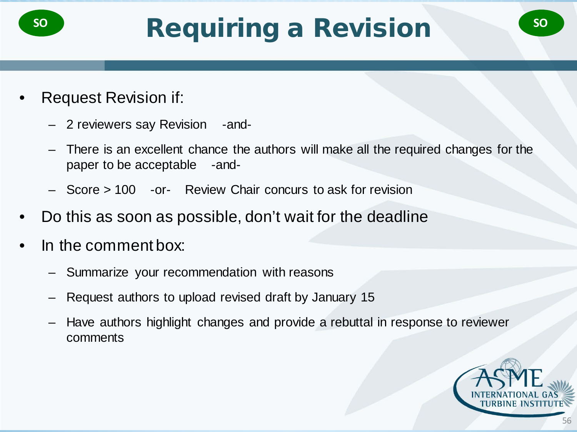- Request Revision if:
	- 2 reviewers say Revision -and-
	- There is an excellent chance the authors will make all the required changes for the paper to be acceptable -and-
	- Score > 100 -or- Review Chair concurs to ask for revision
- Do this as soon as possible, don't wait for the deadline
- In the comment box:
	- Summarize your recommendation with reasons
	- Request authors to upload revised draft by January 15
	- Have authors highlight changes and provide a rebuttal in response to reviewer comments

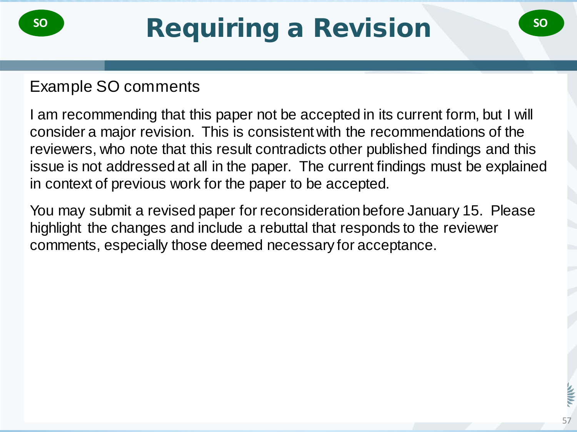#### Example SO comments

I am recommending that this paper not be accepted in its current form, but I will consider a major revision. This is consistent with the recommendations of the reviewers, who note that this result contradicts other published findings and this issue is not addressed at all in the paper. The current findings must be explained in context of previous work for the paper to be accepted.

You may submit a revised paper for reconsideration before January 15. Please highlight the changes and include a rebuttal that responds to the reviewer comments, especially those deemed necessary for acceptance.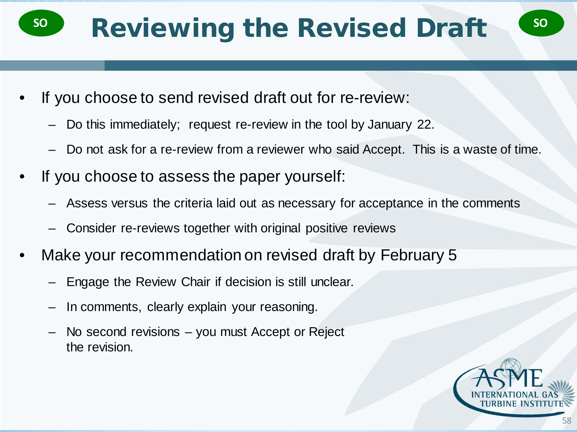## **Reviewing the Revised Draft**

- If you choose to send revised draft out for re-review:
	- Do this immediately; request re-review in the tool by January 22.
	- Do not ask for a re-review from a reviewer who said Accept. This is a waste of time.
- If you choose to assess the paper yourself:
	- Assess versus the criteria laid out as necessary for acceptance in the comments
	- Consider re-reviews together with original positive reviews
- Make your recommendation on revised draft by February 5
	- Engage the Review Chair if decision is still unclear.
	- In comments, clearly explain your reasoning.
	- No second revisions you must Accept or Reject the revision.



58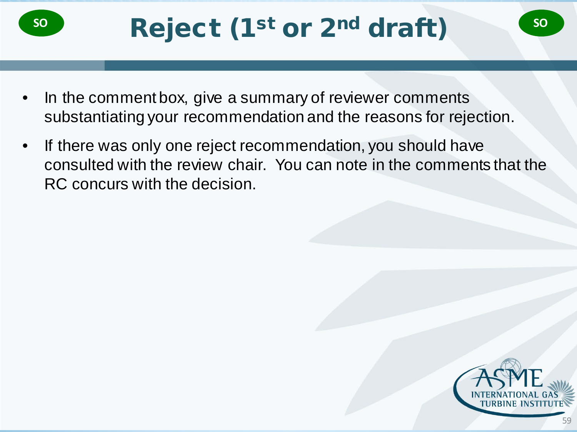- In the comment box, give a summary of reviewer comments substantiating your recommendation and the reasons for rejection.
- If there was only one reject recommendation, you should have consulted with the review chair. You can note in the comments that the RC concurs with the decision.

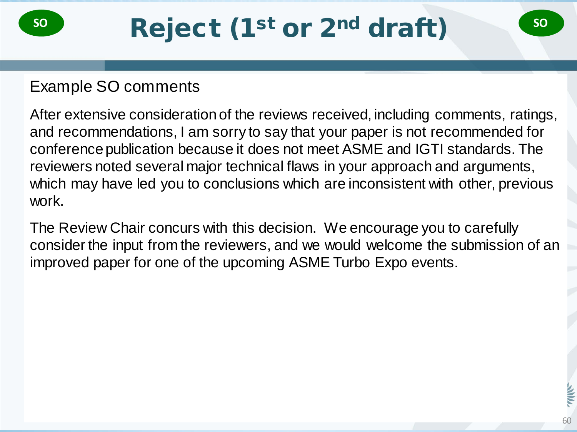### Example SO comments

After extensive consideration of the reviews received, including comments, ratings, and recommendations, I am sorry to say that your paper is not recommended for conference publication because it does not meet ASME and IGTI standards. The reviewers noted several major technical flaws in your approach and arguments, which may have led you to conclusions which are inconsistent with other, previous work.

The Review Chair concurs with this decision. We encourage you to carefully consider the input from the reviewers, and we would welcome the submission of an improved paper for one of the upcoming ASME Turbo Expo events.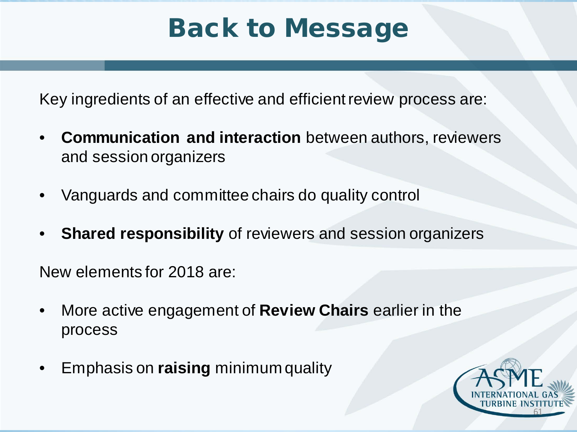### Back to Message

Key ingredients of an effective and efficient review process are:

- **Communication and interaction** between authors, reviewers and session organizers
- Vanguards and committee chairs do quality control
- **Shared responsibility** of reviewers and session organizers

New elements for 2018 are:

- More active engagement of **Review Chairs** earlier in the process
- Emphasis on **raising** minimum quality